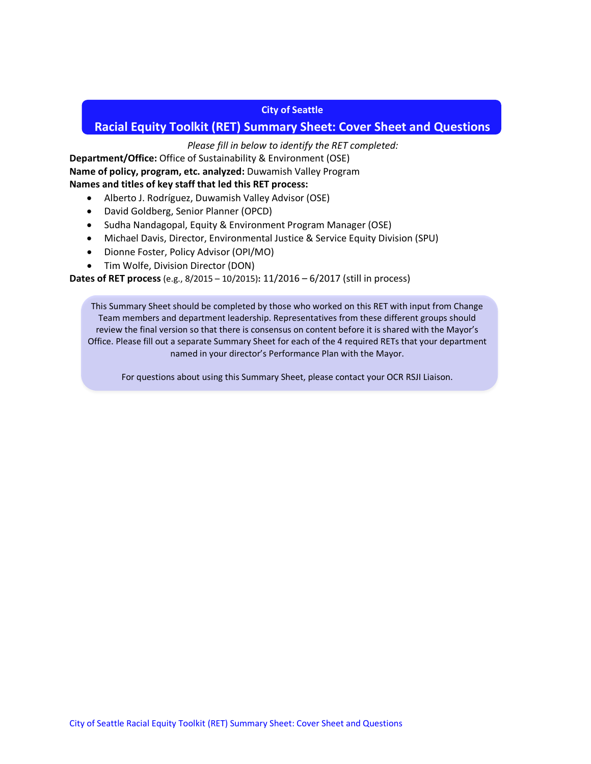#### **City of Seattle**

# **Racial Equity Toolkit (RET) Summary Sheet: Cover Sheet and Questions**

## *Please fill in below to identify the RET completed:*

**Department/Office:** Office of Sustainability & Environment (OSE) **Name of policy, program, etc. analyzed:** Duwamish Valley Program **Names and titles of key staff that led this RET process:** 

- Alberto J. Rodríguez, Duwamish Valley Advisor (OSE)
- David Goldberg, Senior Planner (OPCD)
- Sudha Nandagopal, Equity & Environment Program Manager (OSE)
- Michael Davis, Director, Environmental Justice & Service Equity Division (SPU)
- Dionne Foster, Policy Advisor (OPI/MO)
- Tim Wolfe, Division Director (DON)

**Dates of RET process** (e.g., 8/2015 – 10/2015)**:** 11/2016 – 6/2017 (still in process)

This Summary Sheet should be completed by those who worked on this RET with input from Change Team members and department leadership. Representatives from these different groups should review the final version so that there is consensus on content before it is shared with the Mayor's Office. Please fill out a separate Summary Sheet for each of the 4 required RETs that your department named in your director's Performance Plan with the Mayor.

For questions about using this Summary Sheet, please contact your OCR RSJI Liaison.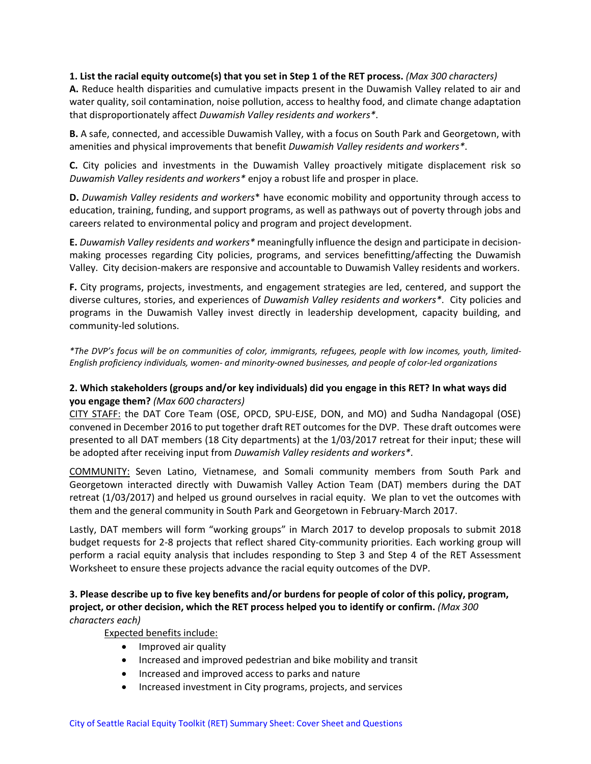#### **1. List the racial equity outcome(s) that you set in Step 1 of the RET process.** *(Max 300 characters)*

**A.** Reduce health disparities and cumulative impacts present in the Duwamish Valley related to air and water quality, soil contamination, noise pollution, access to healthy food, and climate change adaptation that disproportionately affect *Duwamish Valley residents and workers\**.

**B.** A safe, connected, and accessible Duwamish Valley, with a focus on South Park and Georgetown, with amenities and physical improvements that benefit *Duwamish Valley residents and workers\**.

**C.** City policies and investments in the Duwamish Valley proactively mitigate displacement risk so *Duwamish Valley residents and workers\** enjoy a robust life and prosper in place.

**D.** *Duwamish Valley residents and workers*\* have economic mobility and opportunity through access to education, training, funding, and support programs, as well as pathways out of poverty through jobs and careers related to environmental policy and program and project development.

**E.** *Duwamish Valley residents and workers\** meaningfully influence the design and participate in decisionmaking processes regarding City policies, programs, and services benefitting/affecting the Duwamish Valley. City decision-makers are responsive and accountable to Duwamish Valley residents and workers.

**F.** City programs, projects, investments, and engagement strategies are led, centered, and support the diverse cultures, stories, and experiences of *Duwamish Valley residents and workers\**. City policies and programs in the Duwamish Valley invest directly in leadership development, capacity building, and community-led solutions.

*\*The DVP's focus will be on communities of color, immigrants, refugees, people with low incomes, youth, limited-English proficiency individuals, women- and minority-owned businesses, and people of color-led organizations*

## **2. Which stakeholders (groups and/or key individuals) did you engage in this RET? In what ways did you engage them?** *(Max 600 characters)*

CITY STAFF: the DAT Core Team (OSE, OPCD, SPU-EJSE, DON, and MO) and Sudha Nandagopal (OSE) convened in December 2016 to put together draft RET outcomes for the DVP. These draft outcomes were presented to all DAT members (18 City departments) at the 1/03/2017 retreat for their input; these will be adopted after receiving input from *Duwamish Valley residents and workers\**.

COMMUNITY: Seven Latino, Vietnamese, and Somali community members from South Park and Georgetown interacted directly with Duwamish Valley Action Team (DAT) members during the DAT retreat (1/03/2017) and helped us ground ourselves in racial equity. We plan to vet the outcomes with them and the general community in South Park and Georgetown in February-March 2017.

Lastly, DAT members will form "working groups" in March 2017 to develop proposals to submit 2018 budget requests for 2-8 projects that reflect shared City-community priorities. Each working group will perform a racial equity analysis that includes responding to Step 3 and Step 4 of the RET Assessment Worksheet to ensure these projects advance the racial equity outcomes of the DVP.

#### **3. Please describe up to five key benefits and/or burdens for people of color of this policy, program, project, or other decision, which the RET process helped you to identify or confirm.** *(Max 300 characters each)*

#### Expected benefits include:

- Improved air quality
- Increased and improved pedestrian and bike mobility and transit
- Increased and improved access to parks and nature
- Increased investment in City programs, projects, and services